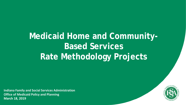## **Medicaid Home and Community-Based Services Rate Methodology Projects**

**Indiana Family and Social Services Administration Office of Medicaid Policy and Planning March 18, 2019**

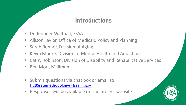#### **Introductions**

- Dr. Jennifer Walthall, FSSA
- Allison Taylor, Office of Medicaid Policy and Planning
- Sarah Renner, Division of Aging
- Kevin Moore, Division of Mental Health and Addiction
- Cathy Robinson, Division of Disability and Rehabilitative Services
- Ben Mori, Milliman
- Submit questions via chat box or email to: [HCBSratemethodology@fssa.in.gov](mailto:HCBSratemethodology@fssa.in.gov)
- Responses will be available on the project website

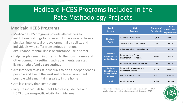### Medicaid HCBS Programs Included in the Rate Methodology Projects

#### **Medicaid HCBS Programs**

- Medicaid HCBS programs provide alternatives to institutional settings for older adults, people who have a physical, intellectual or developmental disability, and individuals who suffer from serious emotional disturbance, mental illness or substance use disorder
- Help people remain in or return to their own homes and other community settings such apartments, assisted living or adult family care settings
- Are intended to assist individuals to be as independent as possible and live in the least restrictive environment possible while maintaining safety in the home
- Are less costly than institutions
- Require individuals to meet Medicaid guidelines and HCBS program-specific eligibility guidelines

| <b>Lead</b><br><b>Agency</b>                                | <b>HCBS</b><br>Program                                          | <b>Number of</b><br><b>Participants</b> | 2018<br><b>Annual HCBS</b><br><b>Expenditures</b> |  |  |  |  |
|-------------------------------------------------------------|-----------------------------------------------------------------|-----------------------------------------|---------------------------------------------------|--|--|--|--|
| <b>Division of</b>                                          | Aged & Disabled Waiver                                          | 18,826                                  | \$293.3M                                          |  |  |  |  |
| <b>Aging</b>                                                | Traumatic Brain Injury Waiver                                   | 172                                     | \$4.7M                                            |  |  |  |  |
|                                                             | <b>Adult Mental Health Habilitation</b>                         | 25                                      | \$0.7M                                            |  |  |  |  |
| <b>Division of</b><br><b>Mental Health</b><br>and Addiction | <b>Behavioral and Primary</b><br><b>Healthcare Coordination</b> | 3,004                                   | \$0.8M                                            |  |  |  |  |
|                                                             | Child Mental Health Wraparound                                  | 789                                     | \$9.5M                                            |  |  |  |  |
| <b>Division of</b><br><b>Disabilities and</b>               | Community Integration and<br><b>Habilitation Waiver</b>         | 9,225                                   | \$692.8M                                          |  |  |  |  |
| <b>Rehabilitative</b><br><b>Services</b>                    | <b>Family Supports Waiver</b>                                   | 18,353                                  | \$158.5M                                          |  |  |  |  |
| <b>Total</b>                                                | <b>HCBS Programs</b>                                            | 50,394                                  | \$1.16B                                           |  |  |  |  |

Note: Participants and expenditures based on the December 2018 Medicaid Forecast update using data through September 2018.

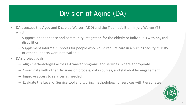### Division of Aging (DA)

- DA oversees the Aged and Disabled Waiver (A&D) and the Traumatic Brain Injury Waiver (TBI), which:
	- Support independence and community integration for the elderly or individuals with physical disabilities
	- Supplement informal supports for people who would require care in a nursing facility if HCBS or other supports were not available
- DA's project goals:
	- Align methodologies across DA waiver programs and services, where appropriate
	- Coordinate with other Divisions on process, data sources, and stakeholder engagement
	- Improve access to services as needed
	- Evaluate the Level of Service tool and scoring methodology for services with tiered rates

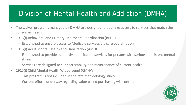### Division of Mental Health and Addiction (DMHA)

- The waiver programs managed by DMHA are designed to optimize access to services that match the consumer needs
- 1915(i) Behavioral and Primary Healthcare Coordination (BPHC)
	- Established to ensure access to Medicaid services via care coordination
- 1915(i) Adult Mental Health and Habilitation (AMHH)
	- Established to provide supportive habilitation services for persons with serious, persistent mental illness
	- Services are designed to support stability and maintenance of current health
- 1915(i) Child Mental Health Wraparound (CMHW)
	- This program is *not* included in the rate methodology study
	- Current efforts underway regarding value based purchasing will continue

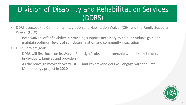### Division of Disability and Rehabilitation Services (DDRS)

- DDRS oversees the Community Integration and Habilitation Waiver (CIH) and the Family Supports Waiver (FSW)
	- Both waivers offer flexibility in providing supports necessary to help individuals gain and maintain optimum levels of self-determination and community integration
- DDRS' project goals:
	- DDRS will first focus on its Waiver Redesign Project in partnership with all stakeholders (individuals, families and providers)
	- As the redesign moves forward, DDRS and key stakeholders will engage with the Rate Methodology project in 2020

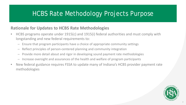#### HCBS Rate Methodology Projects Purpose

#### **Rationale for Updates to HCBS Rate Methodologies**

- HCBS programs operate under 1915(c) and 1915(i) federal authorities and must comply with longstanding and new federal requirements to:
	- Ensure that program participants have a choice of appropriate community settings
	- Reflect principles of person-centered planning and community integration
	- Provide more detail about and rigor in developing sound payment rate methodologies
	- Increase oversight and assurances of the health and welfare of program participants
- New federal guidance requires FSSA to update many of Indiana's HCBS provider payment rate methodologies

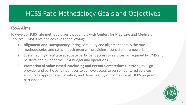#### HCBS Rate Methodology Goals and Objectives

#### **FSSA Aims**

To develop HCBS rate methodologies that comply with Centers for Medicare and Medicaid Services (CMS) rules and achieve the following:

- **1. Alignment and Transparency** bring continuity and alignment across the rate methodologies and rates in each program, providing a consistent framework
- **2. Sustainability** facilitate adequate participant access to services, as required by CMS and be sustainable under the FSSA budget and operations
- **3. Promotion of Value-Based Purchasing and Person-Centeredness**  striving to align provider and participant incentives to achieve access to person-centered services, encourage appropriate utilization, and drive healthy outcomes for all HCBS program participants

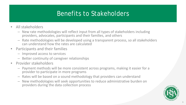#### Benefits to Stakeholders

- All stakeholders
	- New rate methodologies will reflect input from all types of stakeholders including providers, advocates, participants and their families, and others
	- Rate methodologies will be developed using a transparent process, so all stakeholders can understand how the rates are calculated
- Participants and their families
	- Improved access to services
	- Better continuity of caregiver relationships
- Provider stakeholders
	- Payment methods will be more consistent across programs, making it easier for a provider to participate in more programs
	- Rates will be based on a sound methodology that providers can understand
	- New methodologies will seek opportunities to reduce administrative burden on providers during the data collection process

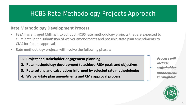#### HCBS Rate Methodology Projects Approach

#### **Rate Methodology Development Process**

- FSSA has engaged Milliman to conduct HCBS rate methodology projects that are expected to culminate in the submission of waiver amendments and possible state plan amendments to CMS for federal approval
- Rate methodology projects will involve the following phases:
	- **1. Project and stakeholder engagement planning**
	- **2. Rate methodology development to achieve FSSA goals and objectives**
	- **3. Rate setting and calculations informed by selected rate methodologies**
	- **4. Waiver/state plan amendments and CMS approval process**

*Process will include stakeholder engagement throughout*

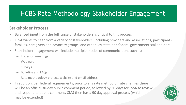### HCBS Rate Methodology Stakeholder Engagement

#### **Stakeholder Process**

- Balanced input from the full range of stakeholders is critical to this process
- FSSA wants to hear from a variety of stakeholders, including providers and associations, participants, families, caregivers and advocacy groups, and other key state and federal government stakeholders
- Stakeholder engagement will include multiple modes of communication, such as:
	- In-person meetings
	- Webinars
	- Surveys
	- Bulletins and FAQs
	- Rate methodology projects website and email address
- In addition, per federal requirements, prior to any rate method or rate changes there will be an official 30-day public comment period, followed by 30 days for FSSA to review and respond to public comment. CMS then has a 90 day approval process (which may be extended)

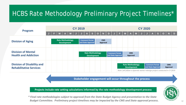### HCBS Rate Methodology Preliminary Project Timelines\*

| Program                                                             | <b>CY 2019</b> |                                               |   |   |   |                                                                       |                                               |                           |    |          |  | <b>CY 2020</b> |                                             |   |                        |                    |                         |  |  |                       |                                                                                                 |   |                        |   |
|---------------------------------------------------------------------|----------------|-----------------------------------------------|---|---|---|-----------------------------------------------------------------------|-----------------------------------------------|---------------------------|----|----------|--|----------------|---------------------------------------------|---|------------------------|--------------------|-------------------------|--|--|-----------------------|-------------------------------------------------------------------------------------------------|---|------------------------|---|
|                                                                     | ш              | -1                                            | M | A | M |                                                                       |                                               | $\boldsymbol{\mathsf{A}}$ | S. | $\Omega$ |  | D              |                                             | ы | M                      | A                  | M                       |  |  |                       | S                                                                                               | O |                        | D |
| <b>Division of Aging</b>                                            |                | <b>Rate Methodology</b><br><b>Development</b> |   |   |   | <b>Comment Period</b><br><b>CMS</b><br>and State Approval<br>Approval |                                               |                           |    |          |  |                |                                             |   |                        |                    |                         |  |  |                       |                                                                                                 |   |                        |   |
| <b>Division of Mental</b><br><b>Health and Addiction</b>            |                |                                               |   |   |   |                                                                       | <b>Rate Methodology</b><br><b>Development</b> |                           |    |          |  |                | <b>Comment Period</b><br>and State Approval |   | <b>CMS</b><br>Approval |                    |                         |  |  |                       |                                                                                                 |   |                        |   |
| <b>Division of Disability and</b><br><b>Rehabilitative Services</b> |                |                                               |   |   |   |                                                                       |                                               |                           |    |          |  |                |                                             |   |                        | <b>Development</b> | <b>Rate Methodology</b> |  |  | <b>Comment Period</b> | and State Approval<br>Note: will follow a separate waiver redesign project conducted in CY 2019 |   | <b>CMS</b><br>Approval |   |

**Stakeholder engagement will occur throughout the process**

**Projects include rate setting calculations informed by the rate methodology development process**

*\* Final rate methodologies subject to approval from the State Budget Agency and presentation to the State Budget Committee. Preliminary project timelines may be impacted by the CMS and State approval process.* 12